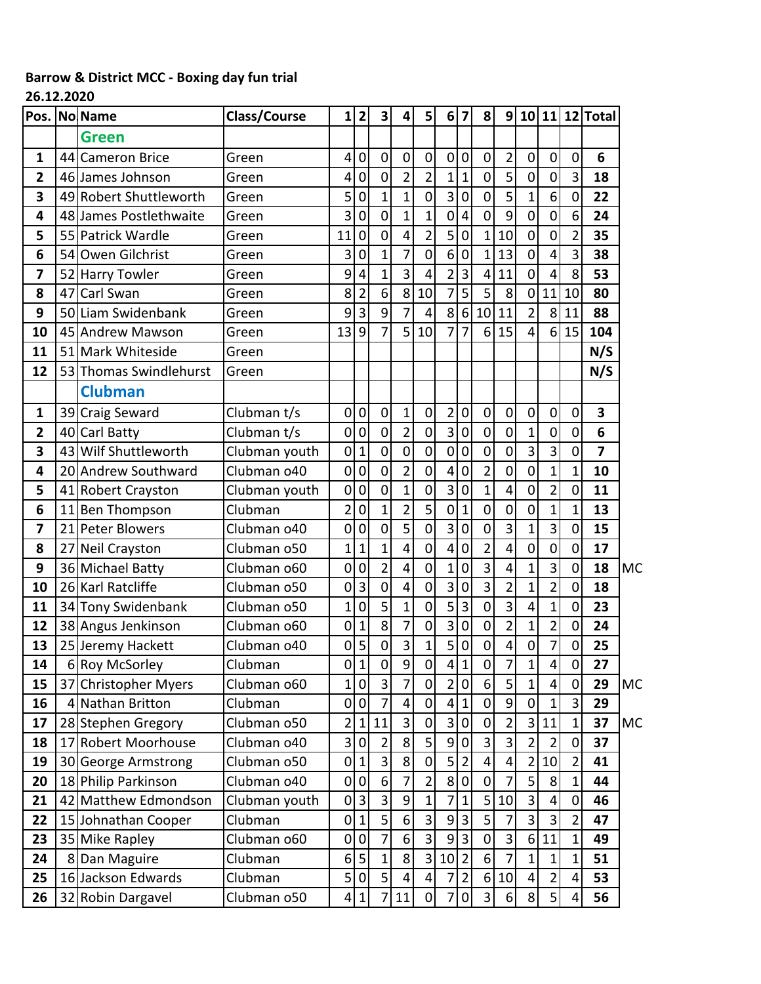## **Barrow & District MCC - Boxing day fun trial**

## **26.12.2020**

|                         |    | Pos. No Name            | <b>Class/Course</b> | $\mathbf{1}$            | $\mathbf{2}$   | 3 <sup>1</sup> | 4                       | 5 <sup>1</sup>          | 6 <sup>1</sup>          | 7                       | 8                       | 9              |                  |                         |                | 10 11 12 Total |           |
|-------------------------|----|-------------------------|---------------------|-------------------------|----------------|----------------|-------------------------|-------------------------|-------------------------|-------------------------|-------------------------|----------------|------------------|-------------------------|----------------|----------------|-----------|
|                         |    | <b>Green</b>            |                     |                         |                |                |                         |                         |                         |                         |                         |                |                  |                         |                |                |           |
| 1                       |    | 44 Cameron Brice        | Green               | 4                       | $\pmb{0}$      | 0              | $\mathbf 0$             | $\mathbf 0$             | $\pmb{0}$               | $\mathbf 0$             | $\mathsf{O}\xspace$     | $\overline{c}$ | $\mathbf 0$      | $\mathbf 0$             | $\mathbf 0$    | 6              |           |
| 2                       |    | 46 James Johnson        | Green               | 4                       | $\mathbf 0$    | $\overline{0}$ | $\overline{2}$          | $\overline{2}$          | $\mathbf{1}$            | $\mathbf{1}$            | $\mathbf 0$             | 5              | $\mathbf 0$      | 0                       | 3              | 18             |           |
| 3                       |    | 49 Robert Shuttleworth  | Green               | 5                       | $\mathbf 0$    | $\mathbf{1}$   | $\mathbf{1}$            | 0                       | 3                       | $\mathbf 0$             | $\mathbf 0$             | 5              | $\overline{1}$   | 6                       | $\mathbf 0$    | 22             |           |
| 4                       |    | 48 James Postlethwaite  | Green               | 3                       | $\overline{0}$ | 0              | $\overline{1}$          | $\overline{1}$          | $\overline{0}$          | 4                       | $\overline{0}$          | 9              | $\mathbf 0$      | $\overline{0}$          | 6              | 24             |           |
| 5                       |    | 55 Patrick Wardle       | Green               | 11                      | $\mathbf 0$    | $\overline{0}$ | 4                       | $\overline{2}$          | 5                       | $\mathbf 0$             | $\mathbf{1}$            | 10             | $\mathbf 0$      | $\overline{0}$          | $\overline{2}$ | 35             |           |
| 6                       | 54 | Owen Gilchrist          | Green               | 3                       | $\mathbf 0$    | 1              | 7                       | 0                       | 6                       | $\mathbf 0$             | $\mathbf{1}$            | 13             | $\mathbf 0$      | 4                       | 3              | 38             |           |
| 7                       | 52 | <b>Harry Towler</b>     | Green               | 9                       | 4              | $\mathbf{1}$   | $\overline{3}$          | 4                       | $\overline{2}$          | $\overline{\mathbf{3}}$ | $\overline{4}$          | 11             | $\mathbf 0$      | $\overline{4}$          | 8              | 53             |           |
| 8                       | 47 | Carl Swan               | Green               | 8                       | $\overline{2}$ | 6 <sup>1</sup> | 8                       | 10                      | $\overline{7}$          | $\overline{\mathbf{5}}$ | 5                       | 8              | $\mathbf 0$      | 11                      | 10             | 80             |           |
| 9                       | 50 | Liam Swidenbank         | Green               | 9                       | 3              | $\mathsf{g}$   | $\overline{7}$          | 4                       | 8                       | 6                       | 10                      | 11             | $\overline{2}$   | 8                       | 11             | 88             |           |
| 10                      |    | 45 Andrew Mawson        | Green               | 13                      | 9              | $\overline{7}$ | 5                       | 10                      | $\overline{7}$          | $\overline{7}$          | 6                       | 15             | 4                | 6 <sup>1</sup>          | 15             | 104            |           |
| 11                      |    | 51 Mark Whiteside       | Green               |                         |                |                |                         |                         |                         |                         |                         |                |                  |                         |                | N/S            |           |
| 12                      |    | 53 Thomas Swindlehurst  | Green               |                         |                |                |                         |                         |                         |                         |                         |                |                  |                         |                | N/S            |           |
|                         |    | <b>Clubman</b>          |                     |                         |                |                |                         |                         |                         |                         |                         |                |                  |                         |                |                |           |
| 1                       |    | 39 Craig Seward         | Clubman t/s         | $\mathbf 0$             | $\pmb{0}$      | $\overline{0}$ | $\mathbf{1}$            | $\pmb{0}$               | $\overline{2}$          | $\mathbf 0$             | $\pmb{0}$               | $\pmb{0}$      | $\mathbf 0$      | $\pmb{0}$               | 0              | 3              |           |
| $\overline{\mathbf{2}}$ |    | 40 Carl Batty           | Clubman t/s         | $\overline{0}$          | $\overline{0}$ | $\overline{0}$ | $\overline{2}$          | 0                       | $\overline{3}$          | $\mathbf 0$             | $\overline{0}$          | $\mathbf 0$    | $\overline{1}$   | $\overline{0}$          | $\mathbf 0$    | 6              |           |
| 3                       |    | 43 Wilf Shuttleworth    | Clubman youth       | $\overline{0}$          | $\mathbf{1}$   | $\overline{0}$ | $\mathbf 0$             | 0                       | $\mathbf 0$             | $\mathbf 0$             | $\mathbf 0$             | $\mathbf 0$    | 3                | 3                       | $\mathbf 0$    | $\overline{7}$ |           |
| 4                       |    | 20 Andrew Southward     | Clubman 040         | $\mathbf 0$             | $\overline{0}$ | 0              | $\overline{2}$          | $\overline{0}$          | 4                       | $\mathbf 0$             | $\overline{2}$          | $\mathbf 0$    | 0                | $\mathbf{1}$            | $\mathbf 1$    | 10             |           |
| 5                       | 41 | <b>Robert Crayston</b>  | Clubman youth       | $\overline{0}$          | $\overline{0}$ | $\overline{0}$ | $\overline{1}$          | 0                       | $\overline{3}$          | $\mathbf 0$             | $\overline{1}$          | 4              | $\mathbf 0$      | $\overline{2}$          | $\mathbf 0$    | 11             |           |
| 6                       | 11 | <b>Ben Thompson</b>     | Clubman             | $\overline{2}$          | $\mathbf 0$    | $\mathbf{1}$   | $\overline{2}$          | 5                       | $\mathbf 0$             | $\mathbf 1$             | $\mathbf 0$             | $\mathbf 0$    | $\mathbf 0$      | $\overline{1}$          | $\mathbf{1}$   | 13             |           |
| 7                       | 21 | <b>Peter Blowers</b>    | Clubman o40         | $\overline{0}$          | $\mathbf 0$    | $\overline{0}$ | $\overline{5}$          | $\overline{0}$          | $\overline{3}$          | $\mathbf 0$             | $\overline{0}$          | 3              | $\mathbf 1$      | $\overline{3}$          | $\overline{0}$ | 15             |           |
| 8                       |    | 27 Neil Crayston        | Clubman o50         | $\overline{1}$          | $\mathbf{1}$   | $\mathbf{1}$   | 4                       | $\overline{0}$          | $\overline{\mathbf{4}}$ | $\mathbf 0$             | $\overline{2}$          | 4              | $\overline{0}$   | $\overline{0}$          | $\mathbf 0$    | 17             |           |
| 9                       |    | 36 Michael Batty        | Clubman o60         | $\mathbf 0$             | $\mathbf 0$    | $\overline{2}$ | 4                       | $\overline{0}$          | $\mathbf 1$             | $\mathbf 0$             | $\overline{3}$          | 4              | $\overline{1}$   | 3                       | 0              | 18             | <b>MC</b> |
| 10                      |    | 26 Karl Ratcliffe       | Clubman o50         | $\mathbf 0$             | $\overline{3}$ | $\overline{0}$ | $\overline{4}$          | $\mathbf 0$             | $\overline{3}$          | $\mathbf 0$             | $\overline{3}$          | $\overline{2}$ | $\mathbf 1$      | $\overline{2}$          | 0              | 18             |           |
| 11                      |    | 34 Tony Swidenbank      | Clubman o50         | $\mathbf{1}$            | $\mathbf 0$    | 5              | $\overline{1}$          | $\mathbf 0$             | 5                       | $\mathsf{3}$            | $\mathbf 0$             | 3              | 4                | $\mathbf{1}$            | $\mathbf 0$    | 23             |           |
| 12                      |    | 38 Angus Jenkinson      | Clubman o60         | $\overline{0}$          | $\mathbf 1$    | $\overline{8}$ | $\overline{7}$          | $\mathbf 0$             | $\overline{3}$          | $\mathbf 0$             | $\overline{0}$          | $\overline{2}$ | $\overline{1}$   | $\overline{2}$          | 0              | 24             |           |
| 13                      |    | 25 Jeremy Hackett       | Clubman o40         | $\mathbf 0$             | 5              | $\overline{0}$ | 3                       | $\mathbf{1}$            | 5                       | $\pmb{0}$               | $\mathbf 0$             | 4              | $\mathbf 0$      | $\overline{7}$          | $\mathbf 0$    | 25             |           |
| 14                      |    | 6 Roy McSorley          | Clubman             | 0                       | $\mathbf{1}$   | 0              | 9                       | 0                       | 4                       | $\mathbf{1}$            | $\overline{0}$          | 7              | 1                | $\vert 4 \vert$         | $\overline{0}$ | 27             |           |
| 15                      |    | 37 Christopher Myers    | Clubman o60         | $\mathbf{1}$            | $\overline{0}$ | 3              | 7                       | $\overline{0}$          | $\overline{2}$          | $\overline{0}$          | 6                       | 5              | $\overline{1}$   | $\vert 4 \vert$         | 0              | 29             | <b>MC</b> |
| 16                      |    | 4 Nathan Britton        | Clubman             | $\mathbf 0$             | 0              | $\overline{7}$ | $\overline{4}$          | 0                       | $\vert 4 \vert$         | $\mathbf{1}$            | $\pmb{0}$               | 9              | $\overline{0}$   | $\mathbf{1}$            | 3              | 29             |           |
| 17                      |    | 28 Stephen Gregory      | Clubman o50         | $\overline{2}$          | $\mathbf{1}$   | 11             | 3                       | 0                       | $\overline{3}$          | $\mathbf 0$             | $\pmb{0}$               | $\overline{2}$ | 3                | 11                      | $\mathbf{1}$   | 37             | <b>MC</b> |
| 18                      | 17 | <b>Robert Moorhouse</b> | Clubman o40         | $\overline{\mathbf{3}}$ | $\pmb{0}$      | $\overline{2}$ | 8                       | 5                       | $\overline{9}$          | $\mathbf 0$             | 3                       | 3              | $\overline{2}$   | $\overline{2}$          | $\mathbf 0$    | 37             |           |
| 19                      |    | 30 George Armstrong     | Clubman o50         | $\pmb{0}$               | $\mathbf{1}$   | 3              | 8                       | 0                       | 5                       | $\overline{2}$          | 4                       | 4              | $\overline{c}$   | 10                      | $\overline{2}$ | 41             |           |
| 20                      |    | 18 Philip Parkinson     | Clubman 040         | $\pmb{0}$               | $\mathbf 0$    | 6 <sup>1</sup> | 7                       | $\overline{\mathbf{c}}$ | 8                       | $\mathbf 0$             | $\overline{0}$          | 7              | 5                | 8                       | $\mathbf{1}$   | 44             |           |
| 21                      |    | 42 Matthew Edmondson    | Clubman youth       | $\mathbf 0$             | 3              | 3              | $\boldsymbol{9}$        | 1                       | 7                       | $\mathbf{1}$            | 5 <sup>1</sup>          | 10             | 3                | $\overline{4}$          | $\mathbf 0$    | 46             |           |
| 22                      |    | 15 Johnathan Cooper     | Clubman             | $\mathbf 0$             | $\mathbf{1}$   | 5              | $\boldsymbol{6}$        | $\overline{3}$          | 9                       | 3                       | $\overline{5}$          | 7              | 3                | $\overline{\mathbf{3}}$ | $\overline{2}$ | 47             |           |
| 23                      |    | 35 Mike Rapley          | Clubman o60         | $\mathbf 0$             | $\pmb{0}$      | $\overline{7}$ | $\boldsymbol{6}$        | $\overline{3}$          | $\overline{9}$          | $\overline{\mathbf{3}}$ | $\mathbf 0$             | 3              | $6 \overline{6}$ | 11                      | $\mathbf{1}$   | 49             |           |
| 24                      |    | 8 Dan Maguire           | Clubman             | 6                       | 5              | 1              | 8                       | 3 <sup>1</sup>          | 10                      | $\overline{2}$          | $6 \overline{6}$        | 7              | 1                | $\mathbf{1}$            | 1              | 51             |           |
| 25                      |    | 16 Jackson Edwards      | Clubman             | 5                       | $\pmb{0}$      | 5 <sup>1</sup> | $\overline{\mathbf{4}}$ | $\overline{\mathbf{r}}$ | 7                       | $\overline{2}$          | $\sqrt{6}$              | 10             | 4                | $\overline{2}$          | 4              | 53             |           |
| 26                      |    | 32 Robin Dargavel       | Clubman o50         | 4                       | $\mathbf{1}$   | $\overline{7}$ | 11                      | $\overline{0}$          | $\overline{7}$          | $\pmb{0}$               | $\overline{\mathbf{3}}$ | $6 \mid$       | $\bf 8$          | $\overline{5}$          | 4              | 56             |           |